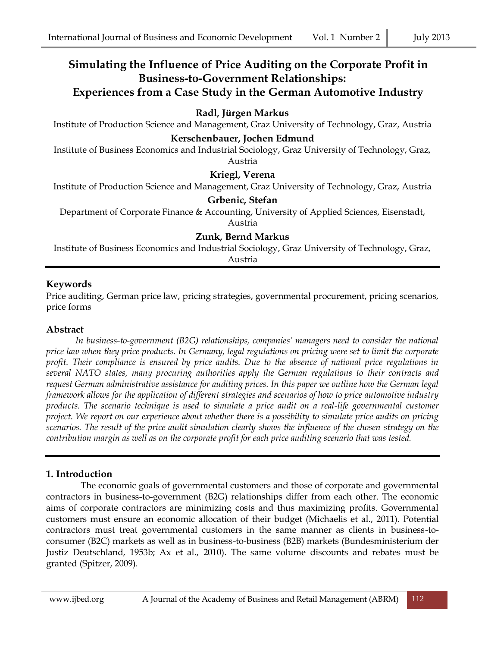# **Simulating the Influence of Price Auditing on the Corporate Profit in Business-to-Government Relationships: Experiences from a Case Study in the German Automotive Industry**

## **Radl, Jürgen Markus**

Institute of Production Science and Management, Graz University of Technology, Graz, Austria

#### **Kerschenbauer, Jochen Edmund**

Institute of Business Economics and Industrial Sociology, Graz University of Technology, Graz, Austria

#### **Kriegl, Verena**

Institute of Production Science and Management, Graz University of Technology, Graz, Austria

#### **Grbenic, Stefan**

Department of Corporate Finance & Accounting, University of Applied Sciences, Eisenstadt,

Austria

### **Zunk, Bernd Markus**

Institute of Business Economics and Industrial Sociology, Graz University of Technology, Graz, Austria

#### **Keywords**

Price auditing, German price law, pricing strategies, governmental procurement, pricing scenarios, price forms

#### **Abstract**

*In business-to-government (B2G) relationships, companies' managers need to consider the national price law when they price products. In Germany, legal regulations on pricing were set to limit the corporate profit. Their compliance is ensured by price audits. Due to the absence of national price regulations in several NATO states, many procuring authorities apply the German regulations to their contracts and request German administrative assistance for auditing prices. In this paper we outline how the German legal framework allows for the application of different strategies and scenarios of how to price automotive industry products. The scenario technique is used to simulate a price audit on a real-life governmental customer project. We report on our experience about whether there is a possibility to simulate price audits on pricing scenarios. The result of the price audit simulation clearly shows the influence of the chosen strategy on the contribution margin as well as on the corporate profit for each price auditing scenario that was tested.*

### **1. Introduction**

The economic goals of governmental customers and those of corporate and governmental contractors in business-to-government (B2G) relationships differ from each other. The economic aims of corporate contractors are minimizing costs and thus maximizing profits. Governmental customers must ensure an economic allocation of their budget (Michaelis et al., 2011). Potential contractors must treat governmental customers in the same manner as clients in business-toconsumer (B2C) markets as well as in business-to-business (B2B) markets (Bundesministerium der Justiz Deutschland, 1953b; Ax et al., 2010). The same volume discounts and rebates must be granted (Spitzer, 2009).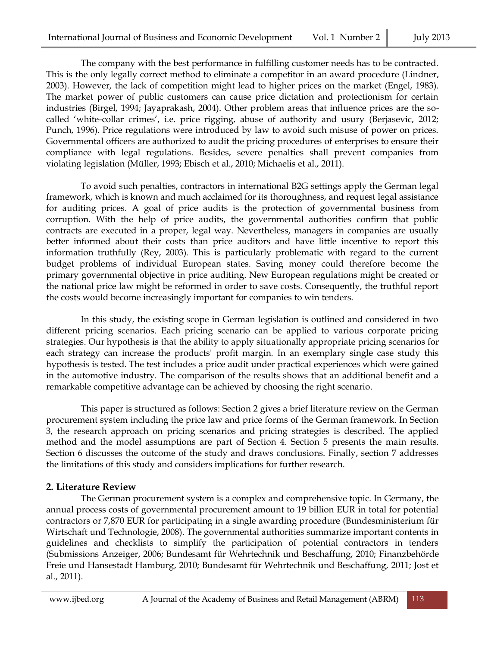The company with the best performance in fulfilling customer needs has to be contracted. This is the only legally correct method to eliminate a competitor in an award procedure (Lindner, 2003). However, the lack of competition might lead to higher prices on the market (Engel, 1983). The market power of public customers can cause price dictation and protectionism for certain industries (Birgel, 1994; Jayaprakash, 2004). Other problem areas that influence prices are the socalled 'white-collar crimes', i.e. price rigging, abuse of authority and usury (Berjasevic, 2012; Punch, 1996). Price regulations were introduced by law to avoid such misuse of power on prices. Governmental officers are authorized to audit the pricing procedures of enterprises to ensure their compliance with legal regulations. Besides, severe penalties shall prevent companies from violating legislation (Müller, 1993; Ebisch et al., 2010; Michaelis et al., 2011).

To avoid such penalties, contractors in international B2G settings apply the German legal framework, which is known and much acclaimed for its thoroughness, and request legal assistance for auditing prices. A goal of price audits is the protection of governmental business from corruption. With the help of price audits, the governmental authorities confirm that public contracts are executed in a proper, legal way. Nevertheless, managers in companies are usually better informed about their costs than price auditors and have little incentive to report this information truthfully (Rey, 2003). This is particularly problematic with regard to the current budget problems of individual European states. Saving money could therefore become the primary governmental objective in price auditing. New European regulations might be created or the national price law might be reformed in order to save costs. Consequently, the truthful report the costs would become increasingly important for companies to win tenders.

In this study, the existing scope in German legislation is outlined and considered in two different pricing scenarios. Each pricing scenario can be applied to various corporate pricing strategies. Our hypothesis is that the ability to apply situationally appropriate pricing scenarios for each strategy can increase the products' profit margin. In an exemplary single case study this hypothesis is tested. The test includes a price audit under practical experiences which were gained in the automotive industry. The comparison of the results shows that an additional benefit and a remarkable competitive advantage can be achieved by choosing the right scenario.

This paper is structured as follows: Section 2 gives a brief literature review on the German procurement system including the price law and price forms of the German framework. In Section 3, the research approach on pricing scenarios and pricing strategies is described. The applied method and the model assumptions are part of Section 4. Section 5 presents the main results. Section 6 discusses the outcome of the study and draws conclusions. Finally, section 7 addresses the limitations of this study and considers implications for further research.

### **2. Literature Review**

The German procurement system is a complex and comprehensive topic. In Germany, the annual process costs of governmental procurement amount to 19 billion EUR in total for potential contractors or 7,870 EUR for participating in a single awarding procedure (Bundesministerium für Wirtschaft und Technologie, 2008). The governmental authorities summarize important contents in guidelines and checklists to simplify the participation of potential contractors in tenders (Submissions Anzeiger, 2006; Bundesamt für Wehrtechnik und Beschaffung, 2010; Finanzbehörde Freie und Hansestadt Hamburg, 2010; Bundesamt für Wehrtechnik und Beschaffung, 2011; Jost et al., 2011).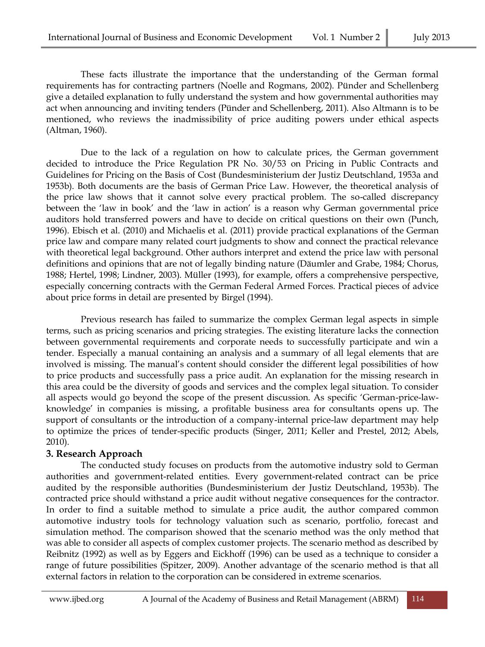These facts illustrate the importance that the understanding of the German formal requirements has for contracting partners (Noelle and Rogmans, 2002). Pünder and Schellenberg give a detailed explanation to fully understand the system and how governmental authorities may act when announcing and inviting tenders (Pünder and Schellenberg, 2011). Also Altmann is to be mentioned, who reviews the inadmissibility of price auditing powers under ethical aspects (Altman, 1960).

Due to the lack of a regulation on how to calculate prices, the German government decided to introduce the Price Regulation PR No. 30/53 on Pricing in Public Contracts and Guidelines for Pricing on the Basis of Cost (Bundesministerium der Justiz Deutschland, 1953a and 1953b). Both documents are the basis of German Price Law. However, the theoretical analysis of the price law shows that it cannot solve every practical problem. The so-called discrepancy between the 'law in book' and the 'law in action' is a reason why German governmental price auditors hold transferred powers and have to decide on critical questions on their own (Punch, 1996). Ebisch et al. (2010) and Michaelis et al. (2011) provide practical explanations of the German price law and compare many related court judgments to show and connect the practical relevance with theoretical legal background. Other authors interpret and extend the price law with personal definitions and opinions that are not of legally binding nature (Däumler and Grabe, 1984; Chorus, 1988; Hertel, 1998; Lindner, 2003). Müller (1993), for example, offers a comprehensive perspective, especially concerning contracts with the German Federal Armed Forces. Practical pieces of advice about price forms in detail are presented by Birgel (1994).

Previous research has failed to summarize the complex German legal aspects in simple terms, such as pricing scenarios and pricing strategies. The existing literature lacks the connection between governmental requirements and corporate needs to successfully participate and win a tender. Especially a manual containing an analysis and a summary of all legal elements that are involved is missing. The manual's content should consider the different legal possibilities of how to price products and successfully pass a price audit. An explanation for the missing research in this area could be the diversity of goods and services and the complex legal situation. To consider all aspects would go beyond the scope of the present discussion. As specific 'German-price-lawknowledge' in companies is missing, a profitable business area for consultants opens up. The support of consultants or the introduction of a company-internal price-law department may help to optimize the prices of tender-specific products (Singer, 2011; Keller and Prestel, 2012; Abels, 2010).

### **3. Research Approach**

The conducted study focuses on products from the automotive industry sold to German authorities and government-related entities. Every government-related contract can be price audited by the responsible authorities (Bundesministerium der Justiz Deutschland, 1953b). The contracted price should withstand a price audit without negative consequences for the contractor. In order to find a suitable method to simulate a price audit, the author compared common automotive industry tools for technology valuation such as scenario, portfolio, forecast and simulation method. The comparison showed that the scenario method was the only method that was able to consider all aspects of complex customer projects. The scenario method as described by Reibnitz (1992) as well as by Eggers and Eickhoff (1996) can be used as a technique to consider a range of future possibilities (Spitzer, 2009). Another advantage of the scenario method is that all external factors in relation to the corporation can be considered in extreme scenarios.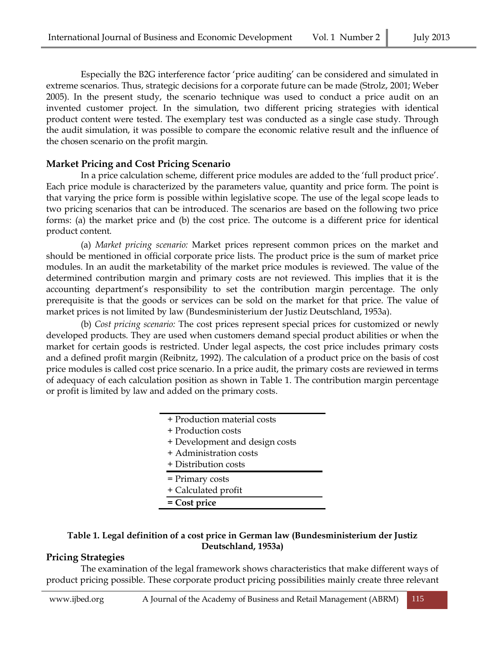Especially the B2G interference factor 'price auditing' can be considered and simulated in extreme scenarios. Thus, strategic decisions for a corporate future can be made (Strolz, 2001; Weber 2005). In the present study, the scenario technique was used to conduct a price audit on an invented customer project. In the simulation, two different pricing strategies with identical product content were tested. The exemplary test was conducted as a single case study. Through the audit simulation, it was possible to compare the economic relative result and the influence of the chosen scenario on the profit margin.

#### **Market Pricing and Cost Pricing Scenario**

In a price calculation scheme, different price modules are added to the 'full product price'. Each price module is characterized by the parameters value, quantity and price form. The point is that varying the price form is possible within legislative scope. The use of the legal scope leads to two pricing scenarios that can be introduced. The scenarios are based on the following two price forms: (a) the market price and (b) the cost price. The outcome is a different price for identical product content.

(a) *Market pricing scenario:* Market prices represent common prices on the market and should be mentioned in official corporate price lists. The product price is the sum of market price modules. In an audit the marketability of the market price modules is reviewed. The value of the determined contribution margin and primary costs are not reviewed. This implies that it is the accounting department's responsibility to set the contribution margin percentage. The only prerequisite is that the goods or services can be sold on the market for that price. The value of market prices is not limited by law (Bundesministerium der Justiz Deutschland, 1953a).

(b) *Cost pricing scenario:* The cost prices represent special prices for customized or newly developed products. They are used when customers demand special product abilities or when the market for certain goods is restricted. Under legal aspects, the cost price includes primary costs and a defined profit margin (Reibnitz, 1992). The calculation of a product price on the basis of cost price modules is called cost price scenario. In a price audit, the primary costs are reviewed in terms of adequacy of each calculation position as shown in Table 1. The contribution margin percentage or profit is limited by law and added on the primary costs.

> + Production material costs + Production costs + Development and design costs + Administration costs + Distribution costs = Primary costs + Calculated profit **= Cost price**

#### **Table 1. Legal definition of a cost price in German law (Bundesministerium der Justiz Deutschland, 1953a)**

### **Pricing Strategies**

The examination of the legal framework shows characteristics that make different ways of product pricing possible. These corporate product pricing possibilities mainly create three relevant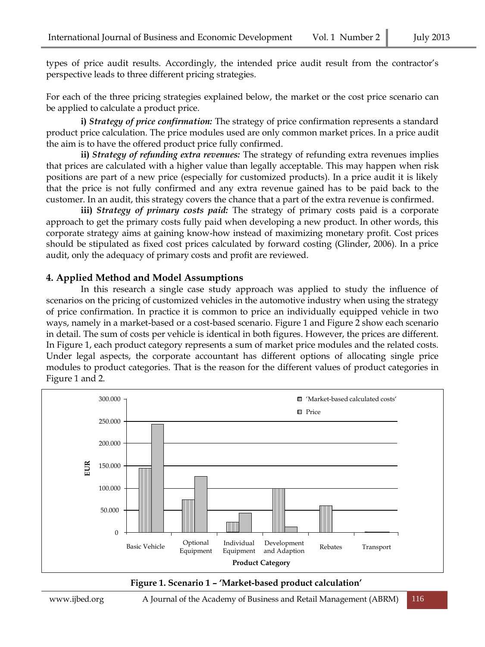types of price audit results. Accordingly, the intended price audit result from the contractor's perspective leads to three different pricing strategies.

For each of the three pricing strategies explained below, the market or the cost price scenario can be applied to calculate a product price.

**i)** *Strategy of price confirmation:* The strategy of price confirmation represents a standard product price calculation. The price modules used are only common market prices. In a price audit the aim is to have the offered product price fully confirmed.

**ii)** *Strategy of refunding extra revenues:* The strategy of refunding extra revenues implies that prices are calculated with a higher value than legally acceptable. This may happen when risk positions are part of a new price (especially for customized products). In a price audit it is likely that the price is not fully confirmed and any extra revenue gained has to be paid back to the customer. In an audit, this strategy covers the chance that a part of the extra revenue is confirmed.

**iii)** *Strategy of primary costs paid:* The strategy of primary costs paid is a corporate approach to get the primary costs fully paid when developing a new product. In other words, this corporate strategy aims at gaining know-how instead of maximizing monetary profit. Cost prices should be stipulated as fixed cost prices calculated by forward costing (Glinder, 2006). In a price audit, only the adequacy of primary costs and profit are reviewed.

#### **4. Applied Method and Model Assumptions**

In this research a single case study approach was applied to study the influence of scenarios on the pricing of customized vehicles in the automotive industry when using the strategy of price confirmation. In practice it is common to price an individually equipped vehicle in two ways, namely in a market-based or a cost-based scenario. Figure 1 and Figure 2 show each scenario in detail. The sum of costs per vehicle is identical in both figures. However, the prices are different. In Figure 1, each product category represents a sum of market price modules and the related costs. Under legal aspects, the corporate accountant has different options of allocating single price modules to product categories. That is the reason for the different values of product categories in Figure 1 and 2.



#### **Figure 1. Scenario 1 – 'Market-based product calculation'**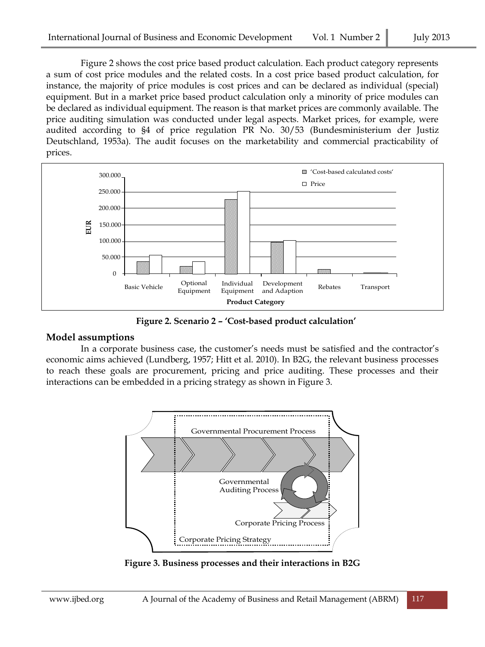Figure 2 shows the cost price based product calculation. Each product category represents a sum of cost price modules and the related costs. In a cost price based product calculation, for instance, the majority of price modules is cost prices and can be declared as individual (special) equipment. But in a market price based product calculation only a minority of price modules can be declared as individual equipment. The reason is that market prices are commonly available. The price auditing simulation was conducted under legal aspects. Market prices, for example, were audited according to §4 of price regulation PR No. 30/53 (Bundesministerium der Justiz Deutschland, 1953a). The audit focuses on the marketability and commercial practicability of prices.



**Figure 2. Scenario 2 – 'Cost-based product calculation'**

### **Model assumptions**

In a corporate business case, the customer's needs must be satisfied and the contractor's economic aims achieved (Lundberg, 1957; Hitt et al. 2010). In B2G, the relevant business processes to reach these goals are procurement, pricing and price auditing. These processes and their interactions can be embedded in a pricing strategy as shown in Figure 3.



**Figure 3. Business processes and their interactions in B2G**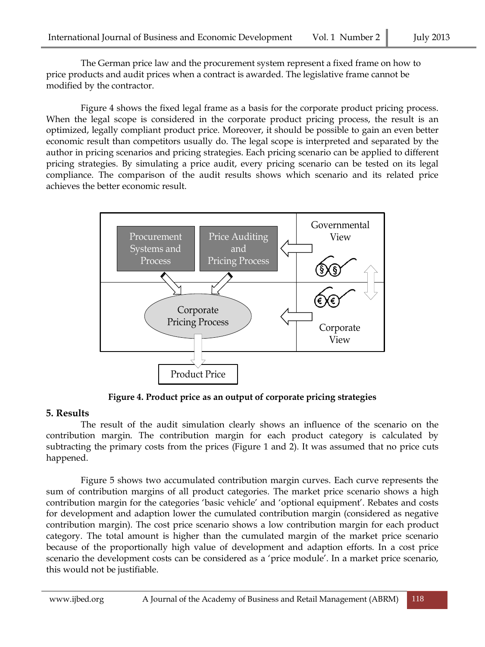The German price law and the procurement system represent a fixed frame on how to price products and audit prices when a contract is awarded. The legislative frame cannot be modified by the contractor.

Figure 4 shows the fixed legal frame as a basis for the corporate product pricing process. When the legal scope is considered in the corporate product pricing process, the result is an optimized, legally compliant product price. Moreover, it should be possible to gain an even better economic result than competitors usually do. The legal scope is interpreted and separated by the author in pricing scenarios and pricing strategies. Each pricing scenario can be applied to different pricing strategies. By simulating a price audit, every pricing scenario can be tested on its legal compliance. The comparison of the audit results shows which scenario and its related price achieves the better economic result.



**Figure 4. Product price as an output of corporate pricing strategies** 

# **5. Results**

The result of the audit simulation clearly shows an influence of the scenario on the contribution margin. The contribution margin for each product category is calculated by subtracting the primary costs from the prices (Figure 1 and 2). It was assumed that no price cuts happened.

Figure 5 shows two accumulated contribution margin curves. Each curve represents the sum of contribution margins of all product categories. The market price scenario shows a high contribution margin for the categories 'basic vehicle' and 'optional equipment'. Rebates and costs for development and adaption lower the cumulated contribution margin (considered as negative contribution margin). The cost price scenario shows a low contribution margin for each product category. The total amount is higher than the cumulated margin of the market price scenario because of the proportionally high value of development and adaption efforts. In a cost price scenario the development costs can be considered as a 'price module'. In a market price scenario, this would not be justifiable.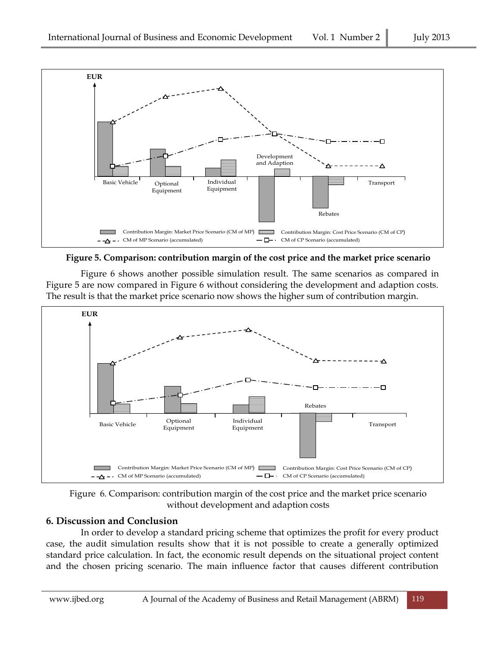

**Figure 5. Comparison: contribution margin of the cost price and the market price scenario**

Figure 6 shows another possible simulation result. The same scenarios as compared in Figure 5 are now compared in Figure 6 without considering the development and adaption costs. The result is that the market price scenario now shows the higher sum of contribution margin.



Figure 6. Comparison: contribution margin of the cost price and the market price scenario without development and adaption costs

# **6. Discussion and Conclusion**

In order to develop a standard pricing scheme that optimizes the profit for every product case, the audit simulation results show that it is not possible to create a generally optimized standard price calculation. In fact, the economic result depends on the situational project content and the chosen pricing scenario. The main influence factor that causes different contribution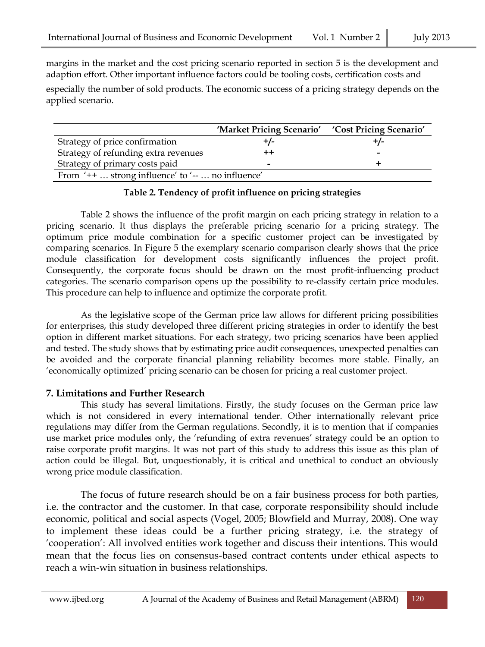margins in the market and the cost pricing scenario reported in section 5 is the development and adaption effort. Other important influence factors could be tooling costs, certification costs and

especially the number of sold products. The economic success of a pricing strategy depends on the applied scenario.

|                                                     | 'Market Pricing Scenario' | 'Cost Pricing Scenario' |
|-----------------------------------------------------|---------------------------|-------------------------|
| Strategy of price confirmation                      |                           | +/-                     |
| Strategy of refunding extra revenues                |                           |                         |
| Strategy of primary costs paid                      | -                         |                         |
| From $'++$ strong influence' to $'--$ no influence' |                           |                         |

#### **Table 2. Tendency of profit influence on pricing strategies**

Table 2 shows the influence of the profit margin on each pricing strategy in relation to a pricing scenario. It thus displays the preferable pricing scenario for a pricing strategy. The optimum price module combination for a specific customer project can be investigated by comparing scenarios. In Figure 5 the exemplary scenario comparison clearly shows that the price module classification for development costs significantly influences the project profit. Consequently, the corporate focus should be drawn on the most profit-influencing product categories. The scenario comparison opens up the possibility to re-classify certain price modules. This procedure can help to influence and optimize the corporate profit.

As the legislative scope of the German price law allows for different pricing possibilities for enterprises, this study developed three different pricing strategies in order to identify the best option in different market situations. For each strategy, two pricing scenarios have been applied and tested. The study shows that by estimating price audit consequences, unexpected penalties can be avoided and the corporate financial planning reliability becomes more stable. Finally, an 'economically optimized' pricing scenario can be chosen for pricing a real customer project.

### **7. Limitations and Further Research**

This study has several limitations. Firstly, the study focuses on the German price law which is not considered in every international tender. Other internationally relevant price regulations may differ from the German regulations. Secondly, it is to mention that if companies use market price modules only, the 'refunding of extra revenues' strategy could be an option to raise corporate profit margins. It was not part of this study to address this issue as this plan of action could be illegal. But, unquestionably, it is critical and unethical to conduct an obviously wrong price module classification.

The focus of future research should be on a fair business process for both parties, i.e. the contractor and the customer. In that case, corporate responsibility should include economic, political and social aspects (Vogel, 2005; Blowfield and Murray, 2008). One way to implement these ideas could be a further pricing strategy, i.e. the strategy of 'cooperation': All involved entities work together and discuss their intentions. This would mean that the focus lies on consensus-based contract contents under ethical aspects to reach a win-win situation in business relationships.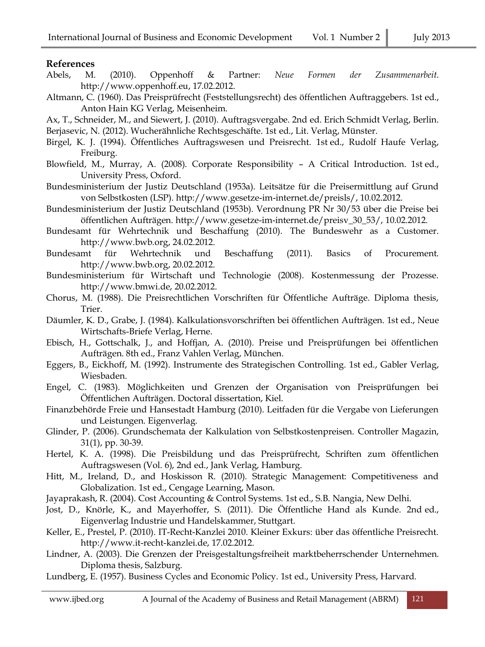#### **References**

- Abels, M. (2010). Oppenhoff & Partner: *Neue Formen der Zusammenarbeit*. [http://www.oppenhoff.eu,](http://www.oppenhoff.eu/) 17.02.2012.
- Altmann, C. (1960). Das Preisprüfrecht (Feststellungsrecht) des öffentlichen Auftraggebers. 1st ed., Anton Hain KG Verlag, Meisenheim.
- Ax, T., Schneider, M., and Siewert, J. (2010). Auftragsvergabe. 2nd ed. Erich Schmidt Verlag, Berlin.

Berjasevic, N. (2012). Wucherähnliche Rechtsgeschäfte. 1st ed., Lit. Verlag, Münster.

- Birgel, K. J. (1994). Öffentliches Auftragswesen und Preisrecht. 1st ed., Rudolf Haufe Verlag, Freiburg.
- Blowfield, M., Murray, A. (2008). Corporate Responsibility A Critical Introduction. 1st ed., University Press, Oxford.
- Bundesministerium der Justiz Deutschland (1953a). Leitsätze für die Preisermittlung auf Grund von Selbstkosten (LSP). [http://www.gesetze-im-internet.de/preisls/,](http://www.gesetze-im-internet.de/preisls/) 10.02.2012.
- Bundesministerium der Justiz Deutschland (1953b). Verordnung PR Nr 30/53 über die Preise bei öffentlichen Aufträgen. [http://www.gesetze-im-internet.de/preisv\\_30\\_53/,](http://www.gesetze-im-internet.de/preisv_30_53/) 10.02.2012.
- Bundesamt für Wehrtechnik und Beschaffung (2010). The Bundeswehr as a Customer. [http://www.bwb.org,](http://www.bwb.org/) 24.02.2012.
- Bundesamt für Wehrtechnik und Beschaffung (2011). Basics of Procurement. [http://www.bwb.org,](http://www.bwb.org/) 20.02.2012.
- Bundesministerium für Wirtschaft und Technologie (2008). Kostenmessung der Prozesse. [http://www.bmwi.de,](http://www.bmwi.de/) 20.02.2012.
- Chorus, M. (1988). Die Preisrechtlichen Vorschriften für Öffentliche Aufträge. Diploma thesis, Trier.
- Däumler, K. D., Grabe, J. (1984). Kalkulationsvorschriften bei öffentlichen Aufträgen. 1st ed., Neue Wirtschafts-Briefe Verlag, Herne.
- Ebisch, H., Gottschalk, J., and Hoffjan, A. (2010). Preise und Preisprüfungen bei öffentlichen Aufträgen. 8th ed., Franz Vahlen Verlag, München.
- Eggers, B., Eickhoff, M. (1992). Instrumente des Strategischen Controlling. 1st ed., Gabler Verlag, Wiesbaden.
- Engel, C. (1983). Möglichkeiten und Grenzen der Organisation von Preisprüfungen bei Öffentlichen Aufträgen. Doctoral dissertation, Kiel.
- Finanzbehörde Freie und Hansestadt Hamburg (2010). Leitfaden für die Vergabe von Lieferungen und Leistungen. Eigenverlag.
- Glinder, P. (2006). Grundschemata der Kalkulation von Selbstkostenpreisen. Controller Magazin, 31(1), pp. 30-39.
- Hertel, K. A. (1998). Die Preisbildung und das Preisprüfrecht, Schriften zum öffentlichen Auftragswesen (Vol. 6), 2nd ed., Jank Verlag, Hamburg.
- Hitt, M., Ireland, D., and Hoskisson R. (2010). Strategic Management: Competitiveness and Globalization. 1st ed., Cengage Learning, Mason.

Jayaprakash, R. (2004). Cost Accounting & Control Systems. 1st ed., S.B. Nangia, New Delhi.

- Jost, D., Knörle, K., and Mayerhoffer, S. (2011). Die Öffentliche Hand als Kunde. 2nd ed., Eigenverlag Industrie und Handelskammer, Stuttgart.
- Keller, E., Prestel, P. (2010). IT-Recht-Kanzlei 2010. Kleiner Exkurs: über das öffentliche Preisrecht. [http://www.it-recht-kanzlei.de,](http://www.it-recht-kanzlei.de/) 17.02.2012.
- Lindner, A. (2003). Die Grenzen der Preisgestaltungsfreiheit marktbeherrschender Unternehmen. Diploma thesis, Salzburg.
- Lundberg, E. (1957). Business Cycles and Economic Policy. 1st ed., University Press, Harvard.